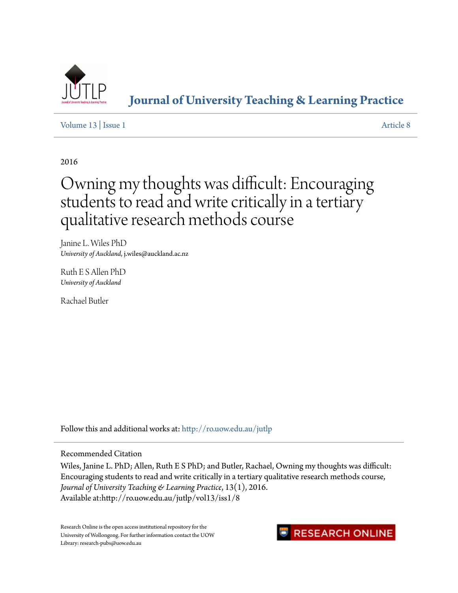

**[Journal of University Teaching & Learning Practice](http://ro.uow.edu.au/jutlp?utm_source=ro.uow.edu.au%2Fjutlp%2Fvol13%2Fiss1%2F8&utm_medium=PDF&utm_campaign=PDFCoverPages)**

[Volume 13](http://ro.uow.edu.au/jutlp/vol13?utm_source=ro.uow.edu.au%2Fjutlp%2Fvol13%2Fiss1%2F8&utm_medium=PDF&utm_campaign=PDFCoverPages) | [Issue 1](http://ro.uow.edu.au/jutlp/vol13/iss1?utm_source=ro.uow.edu.au%2Fjutlp%2Fvol13%2Fiss1%2F8&utm_medium=PDF&utm_campaign=PDFCoverPages) [Article 8](http://ro.uow.edu.au/jutlp/vol13/iss1/8?utm_source=ro.uow.edu.au%2Fjutlp%2Fvol13%2Fiss1%2F8&utm_medium=PDF&utm_campaign=PDFCoverPages)

2016

# Owning my thoughts was difficult: Encouraging students to read and write critically in a tertiary qualitative research methods course

Janine L. Wiles PhD *University of Auckland*, j.wiles@auckland.ac.nz

Ruth E S Allen PhD *University of Auckland*

Rachael Butler

Follow this and additional works at: [http://ro.uow.edu.au/jutlp](http://ro.uow.edu.au/jutlp?utm_source=ro.uow.edu.au%2Fjutlp%2Fvol13%2Fiss1%2F8&utm_medium=PDF&utm_campaign=PDFCoverPages)

Recommended Citation

Wiles, Janine L. PhD; Allen, Ruth E S PhD; and Butler, Rachael, Owning my thoughts was difficult: Encouraging students to read and write critically in a tertiary qualitative research methods course, *Journal of University Teaching & Learning Practice*, 13(1), 2016. Available at:http://ro.uow.edu.au/jutlp/vol13/iss1/8

Research Online is the open access institutional repository for the University of Wollongong. For further information contact the UOW Library: research-pubs@uow.edu.au

## **RESEARCH ONLINE**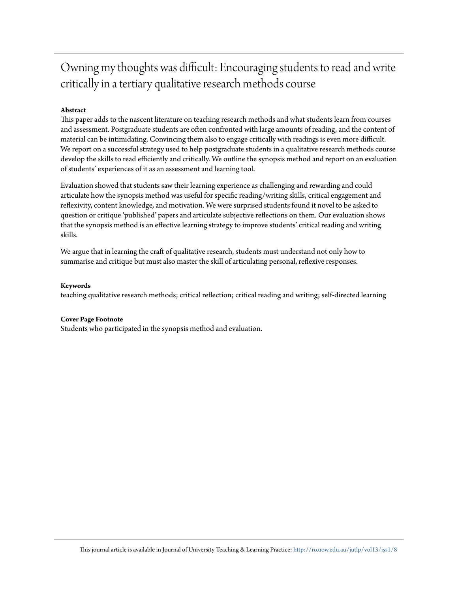## Owning my thoughts was difficult: Encouraging students to read and write critically in a tertiary qualitative research methods course

## **Abstract**

This paper adds to the nascent literature on teaching research methods and what students learn from courses and assessment. Postgraduate students are often confronted with large amounts of reading, and the content of material can be intimidating. Convincing them also to engage critically with readings is even more difficult. We report on a successful strategy used to help postgraduate students in a qualitative research methods course develop the skills to read efficiently and critically. We outline the synopsis method and report on an evaluation of students' experiences of it as an assessment and learning tool.

Evaluation showed that students saw their learning experience as challenging and rewarding and could articulate how the synopsis method was useful for specific reading/writing skills, critical engagement and reflexivity, content knowledge, and motivation. We were surprised students found it novel to be asked to question or critique 'published' papers and articulate subjective reflections on them. Our evaluation shows that the synopsis method is an effective learning strategy to improve students' critical reading and writing skills.

We argue that in learning the craft of qualitative research, students must understand not only how to summarise and critique but must also master the skill of articulating personal, reflexive responses.

#### **Keywords**

teaching qualitative research methods; critical reflection; critical reading and writing; self-directed learning

## **Cover Page Footnote**

Students who participated in the synopsis method and evaluation.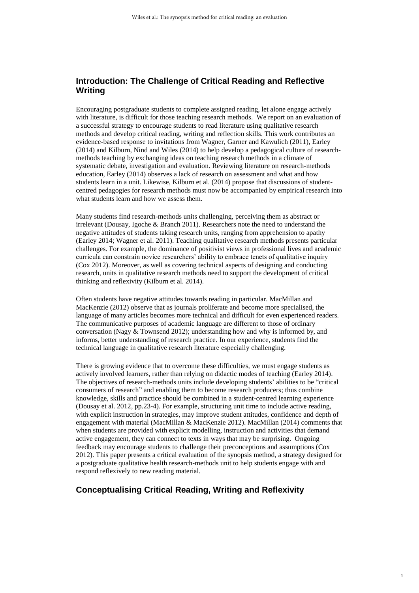## **Introduction: The Challenge of Critical Reading and Reflective Writing**

Encouraging postgraduate students to complete assigned reading, let alone engage actively with literature, is difficult for those teaching research methods. We report on an evaluation of a successful strategy to encourage students to read literature using qualitative research methods and develop critical reading, writing and reflection skills. This work contributes an evidence-based response to invitations from Wagner, Garner and Kawulich (2011), Earley (2014) and Kilburn, Nind and Wiles (2014) to help develop a pedagogical culture of researchmethods teaching by exchanging ideas on teaching research methods in a climate of systematic debate, investigation and evaluation. Reviewing literature on research-methods education, Earley (2014) observes a lack of research on assessment and what and how students learn in a unit. Likewise, Kilburn et al. (2014) propose that discussions of studentcentred pedagogies for research methods must now be accompanied by empirical research into what students learn and how we assess them.

Many students find research-methods units challenging, perceiving them as abstract or irrelevant (Dousay, Igoche & Branch 2011). Researchers note the need to understand the negative attitudes of students taking research units, ranging from apprehension to apathy (Earley 2014; Wagner et al. 2011). Teaching qualitative research methods presents particular challenges. For example, the dominance of positivist views in professional lives and academic curricula can constrain novice researchers' ability to embrace tenets of qualitative inquiry (Cox 2012). Moreover, as well as covering technical aspects of designing and conducting research, units in qualitative research methods need to support the development of critical thinking and reflexivity (Kilburn et al. 2014).

Often students have negative attitudes towards reading in particular. MacMillan and MacKenzie (2012) observe that as journals proliferate and become more specialised, the language of many articles becomes more technical and difficult for even experienced readers. The communicative purposes of academic language are different to those of ordinary conversation (Nagy & Townsend 2012); understanding how and why is informed by, and informs, better understanding of research practice. In our experience, students find the technical language in qualitative research literature especially challenging.

There is growing evidence that to overcome these difficulties, we must engage students as actively involved learners, rather than relying on didactic modes of teaching (Earley 2014). The objectives of research-methods units include developing students' abilities to be "critical consumers of research" and enabling them to become research producers; thus combine knowledge, skills and practice should be combined in a student-centred learning experience (Dousay et al. 2012, pp.23-4). For example, structuring unit time to include active reading, with explicit instruction in strategies, may improve student attitudes, confidence and depth of engagement with material (MacMillan & MacKenzie 2012). MacMillan (2014) comments that when students are provided with explicit modelling, instruction and activities that demand active engagement, they can connect to texts in ways that may be surprising. Ongoing feedback may encourage students to challenge their preconceptions and assumptions (Cox 2012). This paper presents a critical evaluation of the synopsis method, a strategy designed for a postgraduate qualitative health research-methods unit to help students engage with and respond reflexively to new reading material.

## **Conceptualising Critical Reading, Writing and Reflexivity**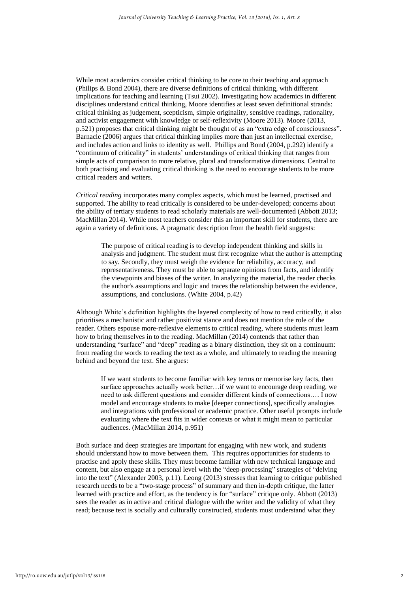While most academics consider critical thinking to be core to their teaching and approach (Philips & Bond 2004), there are diverse definitions of critical thinking, with different implications for teaching and learning (Tsui 2002). Investigating how academics in different disciplines understand critical thinking, Moore identifies at least seven definitional strands: critical thinking as judgement, scepticism, simple originality, sensitive readings, rationality, and activist engagement with knowledge or self-reflexivity (Moore 2013). Moore (2013, p.521) proposes that critical thinking might be thought of as an "extra edge of consciousness". Barnacle (2006) argues that critical thinking implies more than just an intellectual exercise, and includes action and links to identity as well. Phillips and Bond (2004, p.292) identify a "continuum of criticality" in students' understandings of critical thinking that ranges from simple acts of comparison to more relative, plural and transformative dimensions. Central to both practising and evaluating critical thinking is the need to encourage students to be more critical readers and writers.

*Critical reading* incorporates many complex aspects, which must be learned, practised and supported. The ability to read critically is considered to be under-developed; concerns about the ability of tertiary students to read scholarly materials are well-documented (Abbott 2013; MacMillan 2014). While most teachers consider this an important skill for students, there are again a variety of definitions. A pragmatic description from the health field suggests:

The purpose of critical reading is to develop independent thinking and skills in analysis and judgment. The student must first recognize what the author is attempting to say. Secondly, they must weigh the evidence for reliability, accuracy, and representativeness. They must be able to separate opinions from facts, and identify the viewpoints and biases of the writer. In analyzing the material, the reader checks the author's assumptions and logic and traces the relationship between the evidence, assumptions, and conclusions. (White 2004, p.42)

Although White's definition highlights the layered complexity of how to read critically, it also prioritises a mechanistic and rather positivist stance and does not mention the role of the reader. Others espouse more-reflexive elements to critical reading, where students must learn how to bring themselves in to the reading. MacMillan (2014) contends that rather than understanding "surface" and "deep" reading as a binary distinction, they sit on a continuum: from reading the words to reading the text as a whole, and ultimately to reading the meaning behind and beyond the text. She argues:

If we want students to become familiar with key terms or memorise key facts, then surface approaches actually work better…if we want to encourage deep reading, we need to ask different questions and consider different kinds of connections…. I now model and encourage students to make [deeper connections], specifically analogies and integrations with professional or academic practice. Other useful prompts include evaluating where the text fits in wider contexts or what it might mean to particular audiences. (MacMillan 2014, p.951)

Both surface and deep strategies are important for engaging with new work, and students should understand how to move between them. This requires opportunities for students to practise and apply these skills. They must become familiar with new technical language and content, but also engage at a personal level with the "deep-processing" strategies of "delving into the text" (Alexander 2003, p.11). Leong (2013) stresses that learning to critique published research needs to be a "two-stage process" of summary and then in-depth critique, the latter learned with practice and effort, as the tendency is for "surface" critique only. Abbott (2013) sees the reader as in active and critical dialogue with the writer and the validity of what they read; because text is socially and culturally constructed, students must understand what they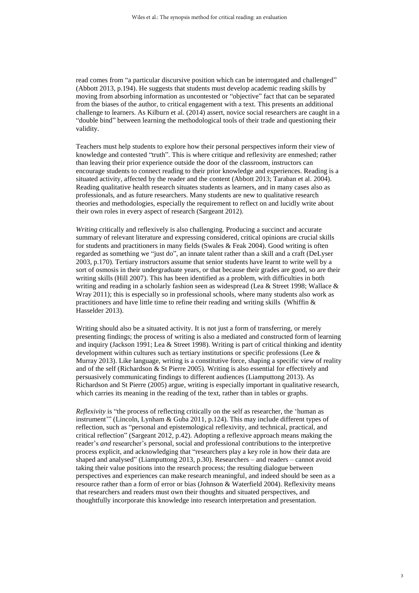read comes from "a particular discursive position which can be interrogated and challenged" (Abbott 2013, p.194). He suggests that students must develop academic reading skills by moving from absorbing information as uncontested or "objective" fact that can be separated from the biases of the author, to critical engagement with a text. This presents an additional challenge to learners. As Kilburn et al. (2014) assert, novice social researchers are caught in a "double bind" between learning the methodological tools of their trade and questioning their validity.

Teachers must help students to explore how their personal perspectives inform their view of knowledge and contested "truth". This is where critique and reflexivity are enmeshed; rather than leaving their prior experience outside the door of the classroom, instructors can encourage students to connect reading to their prior knowledge and experiences. Reading is a situated activity, affected by the reader and the content (Abbott 2013; Taraban et al. 2004). Reading qualitative health research situates students as learners, and in many cases also as professionals, and as future researchers. Many students are new to qualitative research theories and methodologies, especially the requirement to reflect on and lucidly write about their own roles in every aspect of research (Sargeant 2012).

*Writing* critically and reflexively is also challenging. Producing a succinct and accurate summary of relevant literature and expressing considered, critical opinions are crucial skills for students and practitioners in many fields (Swales & Feak 2004). Good writing is often regarded as something we "just do", an innate talent rather than a skill and a craft (DeLyser 2003, p.170). Tertiary instructors assume that senior students have learnt to write well by a sort of osmosis in their undergraduate years, or that because their grades are good, so are their writing skills (Hill 2007). This has been identified as a problem, with difficulties in both writing and reading in a scholarly fashion seen as widespread (Lea & Street 1998; Wallace & Wray 2011); this is especially so in professional schools, where many students also work as practitioners and have little time to refine their reading and writing skills (Whiffin  $\&$ Hasselder 2013).

Writing should also be a situated activity. It is not just a form of transferring, or merely presenting findings; the process of writing is also a mediated and constructed form of learning and inquiry (Jackson 1991; Lea & Street 1998). Writing is part of critical thinking and identity development within cultures such as tertiary institutions or specific professions (Lee & Murray 2013). Like language, writing is a constitutive force, shaping a specific view of reality and of the self (Richardson & St Pierre 2005). Writing is also essential for effectively and persuasively communicating findings to different audiences (Liamputtong 2013). As Richardson and St Pierre (2005) argue, writing is especially important in qualitative research, which carries its meaning in the reading of the text, rather than in tables or graphs.

*Reflexivity* is "the process of reflecting critically on the self as researcher, the 'human as instrument'" (Lincoln, Lynham & Guba 2011, p.124). This may include different types of reflection, such as "personal and epistemological reflexivity, and technical, practical, and critical reflection" (Sargeant 2012, p.42). Adopting a reflexive approach means making the reader's *and* researcher's personal, social and professional contributions to the interpretive process explicit, and acknowledging that "researchers play a key role in how their data are shaped and analysed" (Liamputtong 2013, p.30). Researchers – and readers – cannot avoid taking their value positions into the research process; the resulting dialogue between perspectives and experiences can make research meaningful, and indeed should be seen as a resource rather than a form of error or bias (Johnson & Waterfield 2004). Reflexivity means that researchers and readers must own their thoughts and situated perspectives, and thoughtfully incorporate this knowledge into research interpretation and presentation.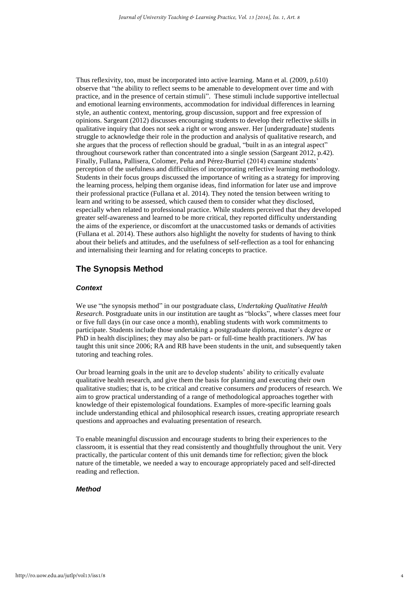Thus reflexivity, too, must be incorporated into active learning. Mann et al. (2009, p.610) observe that "the ability to reflect seems to be amenable to development over time and with practice, and in the presence of certain stimuli". These stimuli include supportive intellectual and emotional learning environments, accommodation for individual differences in learning style, an authentic context, mentoring, group discussion, support and free expression of opinions. Sargeant (2012) discusses encouraging students to develop their reflective skills in qualitative inquiry that does not seek a right or wrong answer. Her [undergraduate] students struggle to acknowledge their role in the production and analysis of qualitative research, and she argues that the process of reflection should be gradual, "built in as an integral aspect" throughout coursework rather than concentrated into a single session (Sargeant 2012, p.42). Finally, Fullana, Pallisera, Colomer, Peña and Pérez-Burriel (2014) examine students' perception of the usefulness and difficulties of incorporating reflective learning methodology. Students in their focus groups discussed the importance of writing as a strategy for improving the learning process, helping them organise ideas, find information for later use and improve their professional practice (Fullana et al. 2014). They noted the tension between writing to learn and writing to be assessed, which caused them to consider what they disclosed, especially when related to professional practice. While students perceived that they developed greater self-awareness and learned to be more critical, they reported difficulty understanding the aims of the experience, or discomfort at the unaccustomed tasks or demands of activities (Fullana et al. 2014). These authors also highlight the novelty for students of having to think about their beliefs and attitudes, and the usefulness of self-reflection as a tool for enhancing and internalising their learning and for relating concepts to practice.

## **The Synopsis Method**

#### *Context*

We use "the synopsis method" in our postgraduate class, *Undertaking Qualitative Health Research*. Postgraduate units in our institution are taught as "blocks", where classes meet four or five full days (in our case once a month), enabling students with work commitments to participate. Students include those undertaking a postgraduate diploma, master's degree or PhD in health disciplines; they may also be part- or full-time health practitioners. JW has taught this unit since 2006; RA and RB have been students in the unit, and subsequently taken tutoring and teaching roles.

Our broad learning goals in the unit are to develop students' ability to critically evaluate qualitative health research, and give them the basis for planning and executing their own qualitative studies; that is, to be critical and creative consumers *and* producers of research. We aim to grow practical understanding of a range of methodological approaches together with knowledge of their epistemological foundations. Examples of more-specific learning goals include understanding ethical and philosophical research issues, creating appropriate research questions and approaches and evaluating presentation of research.

To enable meaningful discussion and encourage students to bring their experiences to the classroom, it is essential that they read consistently and thoughtfully throughout the unit. Very practically, the particular content of this unit demands time for reflection; given the block nature of the timetable, we needed a way to encourage appropriately paced and self-directed reading and reflection.

4

#### *Method*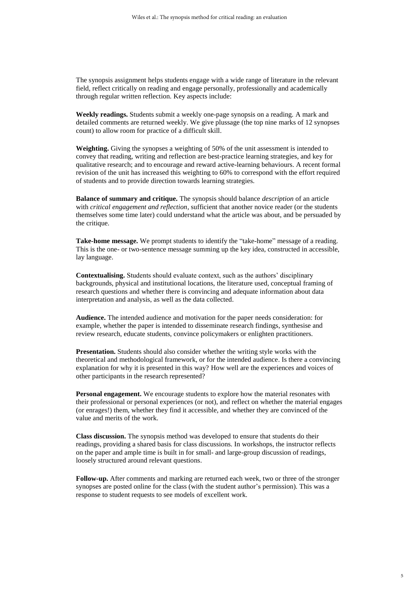The synopsis assignment helps students engage with a wide range of literature in the relevant field, reflect critically on reading and engage personally, professionally and academically through regular written reflection. Key aspects include:

**Weekly readings.** Students submit a weekly one-page synopsis on a reading. A mark and detailed comments are returned weekly. We give plussage (the top nine marks of 12 synopses count) to allow room for practice of a difficult skill.

**Weighting.** Giving the synopses a weighting of 50% of the unit assessment is intended to convey that reading, writing and reflection are best-practice learning strategies, and key for qualitative research; and to encourage and reward active-learning behaviours. A recent formal revision of the unit has increased this weighting to 60% to correspond with the effort required of students and to provide direction towards learning strategies.

**Balance of summary and critique.** The synopsis should balance *description* of an article with *critical engagement and reflection*, sufficient that another novice reader (or the students themselves some time later) could understand what the article was about, and be persuaded by the critique.

**Take-home message.** We prompt students to identify the "take-home" message of a reading. This is the one- or two-sentence message summing up the key idea, constructed in accessible, lay language.

**Contextualising.** Students should evaluate context, such as the authors' disciplinary backgrounds, physical and institutional locations, the literature used, conceptual framing of research questions and whether there is convincing and adequate information about data interpretation and analysis, as well as the data collected.

**Audience.** The intended audience and motivation for the paper needs consideration: for example, whether the paper is intended to disseminate research findings, synthesise and review research, educate students, convince policymakers or enlighten practitioners.

**Presentation.** Students should also consider whether the writing style works with the theoretical and methodological framework, or for the intended audience. Is there a convincing explanation for why it is presented in this way? How well are the experiences and voices of other participants in the research represented?

**Personal engagement.** We encourage students to explore how the material resonates with their professional or personal experiences (or not), and reflect on whether the material engages (or enrages!) them, whether they find it accessible, and whether they are convinced of the value and merits of the work.

**Class discussion.** The synopsis method was developed to ensure that students do their readings, providing a shared basis for class discussions. In workshops, the instructor reflects on the paper and ample time is built in for small- and large-group discussion of readings, loosely structured around relevant questions.

**Follow-up.** After comments and marking are returned each week, two or three of the stronger synopses are posted online for the class (with the student author's permission). This was a response to student requests to see models of excellent work.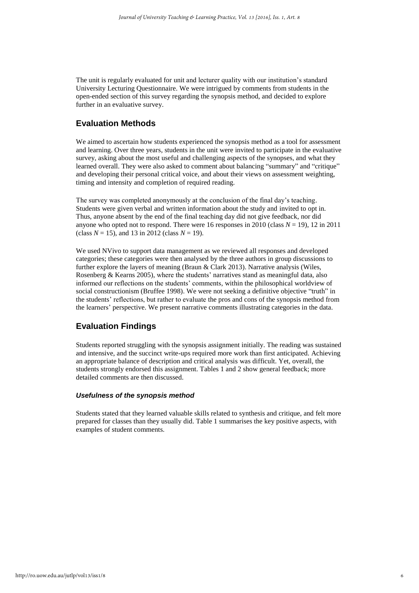The unit is regularly evaluated for unit and lecturer quality with our institution's standard University Lecturing Questionnaire. We were intrigued by comments from students in the open-ended section of this survey regarding the synopsis method, and decided to explore further in an evaluative survey.

## **Evaluation Methods**

We aimed to ascertain how students experienced the synopsis method as a tool for assessment and learning. Over three years, students in the unit were invited to participate in the evaluative survey, asking about the most useful and challenging aspects of the synopses, and what they learned overall. They were also asked to comment about balancing "summary" and "critique" and developing their personal critical voice, and about their views on assessment weighting, timing and intensity and completion of required reading.

The survey was completed anonymously at the conclusion of the final day's teaching. Students were given verbal and written information about the study and invited to opt in. Thus, anyone absent by the end of the final teaching day did not give feedback, nor did anyone who opted not to respond. There were 16 responses in 2010 (class  $N = 19$ ), 12 in 2011 (class  $N = 15$ ), and 13 in 2012 (class  $N = 19$ ).

We used NVivo to support data management as we reviewed all responses and developed categories; these categories were then analysed by the three authors in group discussions to further explore the layers of meaning (Braun & Clark 2013). Narrative analysis (Wiles, Rosenberg & Kearns 2005), where the students' narratives stand as meaningful data, also informed our reflections on the students' comments, within the philosophical worldview of social constructionism (Bruffee 1998). We were not seeking a definitive objective "truth" in the students' reflections, but rather to evaluate the pros and cons of the synopsis method from the learners' perspective. We present narrative comments illustrating categories in the data.

## **Evaluation Findings**

Students reported struggling with the synopsis assignment initially. The reading was sustained and intensive, and the succinct write-ups required more work than first anticipated. Achieving an appropriate balance of description and critical analysis was difficult. Yet, overall, the students strongly endorsed this assignment. Tables 1 and 2 show general feedback; more detailed comments are then discussed.

#### *Usefulness of the synopsis method*

Students stated that they learned valuable skills related to synthesis and critique, and felt more prepared for classes than they usually did. Table 1 summarises the key positive aspects, with examples of student comments.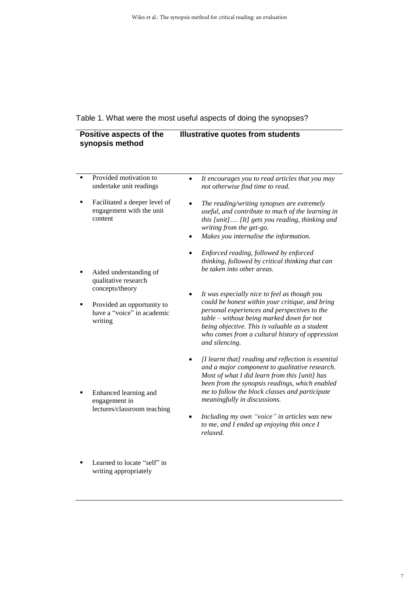## Table 1. What were the most useful aspects of doing the synopses?

| Positive aspects of the<br>synopsis method |                                                                                                                                          | <b>Illustrative quotes from students</b>                                                                                                                                                                                                                                                                                                                                                                                                        |  |
|--------------------------------------------|------------------------------------------------------------------------------------------------------------------------------------------|-------------------------------------------------------------------------------------------------------------------------------------------------------------------------------------------------------------------------------------------------------------------------------------------------------------------------------------------------------------------------------------------------------------------------------------------------|--|
| ٠                                          | Provided motivation to<br>undertake unit readings<br>Facilitated a deeper level of<br>engagement with the unit<br>content                | It encourages you to read articles that you may<br>$\bullet$<br>not otherwise find time to read.<br>The reading/writing synopses are extremely<br>useful, and contribute to much of the learning in<br>this [unit] [It] gets you reading, thinking and<br>writing from the get-go.<br>Makes you internalise the information.<br>$\bullet$                                                                                                       |  |
|                                            | Aided understanding of<br>qualitative research<br>concepts/theory<br>Provided an opportunity to<br>have a "voice" in academic<br>writing | Enforced reading, followed by enforced<br>thinking, followed by critical thinking that can<br>be taken into other areas.<br>It was especially nice to feel as though you<br>could be honest within your critique, and bring<br>personal experiences and perspectives to the<br>table – without being marked down for not<br>being objective. This is valuable as a student<br>who comes from a cultural history of oppression<br>and silencing. |  |
|                                            | Enhanced learning and<br>engagement in<br>lectures/classroom teaching                                                                    | [I learnt that] reading and reflection is essential<br>٠<br>and a major component to qualitative research.<br>Most of what I did learn from this [unit] has<br>been from the synopsis readings, which enabled<br>me to follow the block classes and participate<br>meaningfully in discussions.<br>Including my own "voice" in articles was new<br>to me, and I ended up enjoying this once I<br>relaxed.                                       |  |
|                                            | Learned to locate "self" in                                                                                                              |                                                                                                                                                                                                                                                                                                                                                                                                                                                 |  |

writing appropriately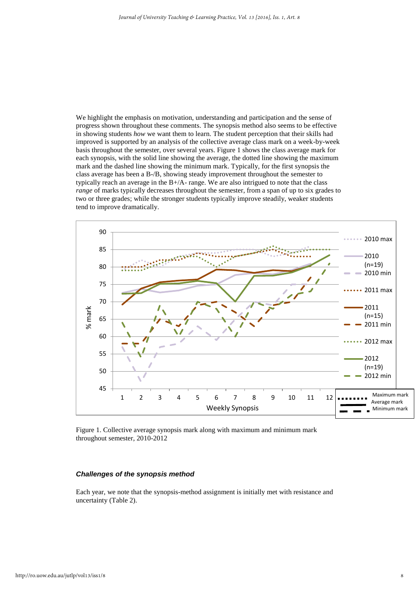We highlight the emphasis on motivation, understanding and participation and the sense of progress shown throughout these comments. The synopsis method also seems to be effective in showing students *how* we want them to learn. The student perception that their skills had improved is supported by an analysis of the collective average class mark on a week-by-week basis throughout the semester, over several years. Figure 1 shows the class average mark for each synopsis, with the solid line showing the average, the dotted line showing the maximum mark and the dashed line showing the minimum mark. Typically, for the first synopsis the class average has been a B-/B, showing steady improvement throughout the semester to typically reach an average in the B+/A- range. We are also intrigued to note that the class *range* of marks typically decreases throughout the semester, from a span of up to six grades to two or three grades; while the stronger students typically improve steadily, weaker students tend to improve dramatically.



Figure 1. Collective average synopsis mark along with maximum and minimum mark throughout semester, 2010-2012

#### *Challenges of the synopsis method*

Each year, we note that the synopsis-method assignment is initially met with resistance and uncertainty (Table 2).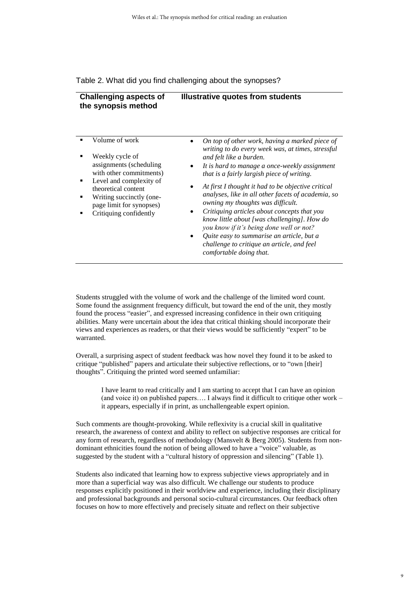#### Table 2. What did you find challenging about the synopses?

| <b>Challenging aspects of</b> | Illustrative quotes from students |
|-------------------------------|-----------------------------------|
| the synopsis method           |                                   |
|                               |                                   |

|  | Volume of work                                                                                                                                                                                             |           | On top of other work, having a marked piece of<br>writing to do every week was, at times, stressful                                    |
|--|------------------------------------------------------------------------------------------------------------------------------------------------------------------------------------------------------------|-----------|----------------------------------------------------------------------------------------------------------------------------------------|
|  | Weekly cycle of<br>assignments (scheduling)<br>with other commitments)<br>Level and complexity of<br>theoretical content<br>Writing succinctly (one-<br>page limit for synopses)<br>Critiquing confidently |           | and felt like a burden.                                                                                                                |
|  |                                                                                                                                                                                                            |           | It is hard to manage a once-weekly assignment<br>that is a fairly largish piece of writing.                                            |
|  |                                                                                                                                                                                                            | ٠         | At first I thought it had to be objective critical<br>analyses, like in all other facets of academia, so                               |
|  |                                                                                                                                                                                                            |           | owning my thoughts was difficult.                                                                                                      |
|  |                                                                                                                                                                                                            | $\bullet$ | Critiquing articles about concepts that you<br>know little about [was challenging]. How do<br>you know if it's being done well or not? |
|  |                                                                                                                                                                                                            | $\bullet$ | Quite easy to summarise an article, but a<br>challenge to critique an article, and feel<br>comfortable doing that.                     |

Students struggled with the volume of work and the challenge of the limited word count. Some found the assignment frequency difficult, but toward the end of the unit, they mostly found the process "easier", and expressed increasing confidence in their own critiquing abilities. Many were uncertain about the idea that critical thinking should incorporate their views and experiences as readers, or that their views would be sufficiently "expert" to be warranted.

Overall, a surprising aspect of student feedback was how novel they found it to be asked to critique "published" papers and articulate their subjective reflections, or to "own [their] thoughts". Critiquing the printed word seemed unfamiliar:

I have learnt to read critically and I am starting to accept that I can have an opinion (and voice it) on published papers…. I always find it difficult to critique other work – it appears, especially if in print, as unchallengeable expert opinion.

Such comments are thought-provoking. While reflexivity is a crucial skill in qualitative research, the awareness of context and ability to reflect on subjective responses are critical for any form of research, regardless of methodology (Mansvelt & Berg 2005). Students from nondominant ethnicities found the notion of being allowed to have a "voice" valuable, as suggested by the student with a "cultural history of oppression and silencing" (Table 1).

Students also indicated that learning how to express subjective views appropriately and in more than a superficial way was also difficult. We challenge our students to produce responses explicitly positioned in their worldview and experience, including their disciplinary and professional backgrounds and personal socio-cultural circumstances. Our feedback often focuses on how to more effectively and precisely situate and reflect on their subjective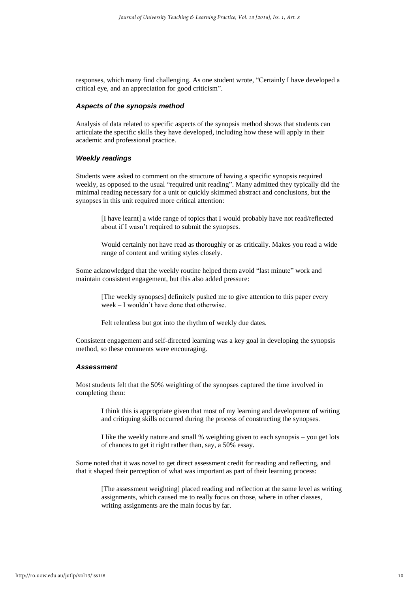responses, which many find challenging. As one student wrote, "Certainly I have developed a critical eye, and an appreciation for good criticism".

#### *Aspects of the synopsis method*

Analysis of data related to specific aspects of the synopsis method shows that students can articulate the specific skills they have developed, including how these will apply in their academic and professional practice.

#### *Weekly readings*

Students were asked to comment on the structure of having a specific synopsis required weekly, as opposed to the usual "required unit reading". Many admitted they typically did the minimal reading necessary for a unit or quickly skimmed abstract and conclusions, but the synopses in this unit required more critical attention:

[I have learnt] a wide range of topics that I would probably have not read/reflected about if I wasn't required to submit the synopses.

Would certainly not have read as thoroughly or as critically. Makes you read a wide range of content and writing styles closely.

Some acknowledged that the weekly routine helped them avoid "last minute" work and maintain consistent engagement, but this also added pressure:

> [The weekly synopses] definitely pushed me to give attention to this paper every week – I wouldn't have done that otherwise.

Felt relentless but got into the rhythm of weekly due dates.

Consistent engagement and self-directed learning was a key goal in developing the synopsis method, so these comments were encouraging.

#### *Assessment*

Most students felt that the 50% weighting of the synopses captured the time involved in completing them:

I think this is appropriate given that most of my learning and development of writing and critiquing skills occurred during the process of constructing the synopses.

I like the weekly nature and small % weighting given to each synopsis – you get lots of chances to get it right rather than, say, a 50% essay.

Some noted that it was novel to get direct assessment credit for reading and reflecting, and that it shaped their perception of what was important as part of their learning process:

[The assessment weighting] placed reading and reflection at the same level as writing assignments, which caused me to really focus on those, where in other classes, writing assignments are the main focus by far.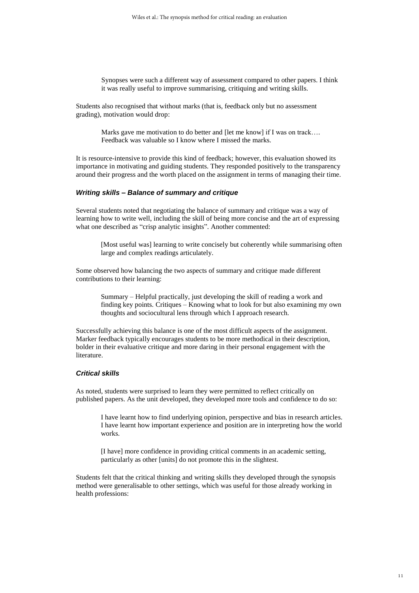Synopses were such a different way of assessment compared to other papers. I think it was really useful to improve summarising, critiquing and writing skills.

Students also recognised that without marks (that is, feedback only but no assessment grading), motivation would drop:

> Marks gave me motivation to do better and [let me know] if I was on track... Feedback was valuable so I know where I missed the marks.

It is resource-intensive to provide this kind of feedback; however, this evaluation showed its importance in motivating and guiding students. They responded positively to the transparency around their progress and the worth placed on the assignment in terms of managing their time.

#### *Writing skills – Balance of summary and critique*

Several students noted that negotiating the balance of summary and critique was a way of learning how to write well, including the skill of being more concise and the art of expressing what one described as "crisp analytic insights". Another commented:

[Most useful was] learning to write concisely but coherently while summarising often large and complex readings articulately.

Some observed how balancing the two aspects of summary and critique made different contributions to their learning:

> Summary – Helpful practically, just developing the skill of reading a work and finding key points. Critiques – Knowing what to look for but also examining my own thoughts and sociocultural lens through which I approach research.

Successfully achieving this balance is one of the most difficult aspects of the assignment. Marker feedback typically encourages students to be more methodical in their description, bolder in their evaluative critique and more daring in their personal engagement with the literature.

#### *Critical skills*

As noted, students were surprised to learn they were permitted to reflect critically on published papers. As the unit developed, they developed more tools and confidence to do so:

I have learnt how to find underlying opinion, perspective and bias in research articles. I have learnt how important experience and position are in interpreting how the world works.

[I have] more confidence in providing critical comments in an academic setting, particularly as other [units] do not promote this in the slightest.

Students felt that the critical thinking and writing skills they developed through the synopsis method were generalisable to other settings, which was useful for those already working in health professions: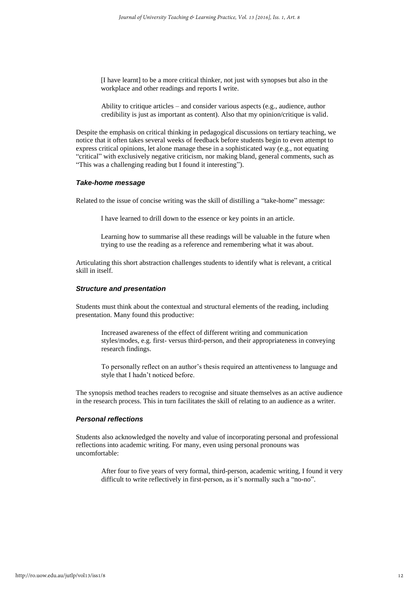[I have learnt] to be a more critical thinker, not just with synopses but also in the workplace and other readings and reports I write.

Ability to critique articles – and consider various aspects (e.g., audience, author credibility is just as important as content). Also that my opinion/critique is valid.

Despite the emphasis on critical thinking in pedagogical discussions on tertiary teaching, we notice that it often takes several weeks of feedback before students begin to even attempt to express critical opinions, let alone manage these in a sophisticated way (e.g., not equating "critical" with exclusively negative criticism, nor making bland, general comments, such as "This was a challenging reading but I found it interesting").

#### *Take-home message*

Related to the issue of concise writing was the skill of distilling a "take-home" message:

I have learned to drill down to the essence or key points in an article.

Learning how to summarise all these readings will be valuable in the future when trying to use the reading as a reference and remembering what it was about.

Articulating this short abstraction challenges students to identify what is relevant, a critical skill in itself.

#### *Structure and presentation*

Students must think about the contextual and structural elements of the reading, including presentation. Many found this productive:

Increased awareness of the effect of different writing and communication styles/modes, e.g. first- versus third-person, and their appropriateness in conveying research findings.

To personally reflect on an author's thesis required an attentiveness to language and style that I hadn't noticed before.

The synopsis method teaches readers to recognise and situate themselves as an active audience in the research process. This in turn facilitates the skill of relating to an audience as a writer.

#### *Personal reflections*

Students also acknowledged the novelty and value of incorporating personal and professional reflections into academic writing. For many, even using personal pronouns was uncomfortable:

After four to five years of very formal, third-person, academic writing, I found it very difficult to write reflectively in first-person, as it's normally such a "no-no".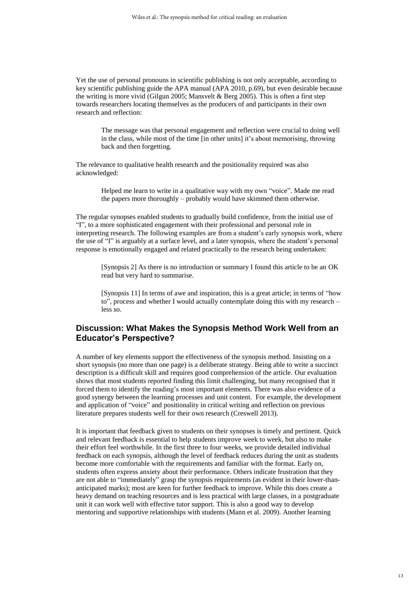Yet the use of personal pronouns in scientific publishing is not only acceptable, according to key scientific publishing guide the APA manual (APA 2010, p.69), but even desirable because the writing is more vivid (Gilgun 2005; Mansvelt & Berg 2005). This is often a first step towards researchers locating themselves as the producers of and participants in their own research and reflection:

The message was that personal engagement and reflection were crucial to doing well in the class, while most of the time [in other units] it's about memorising, throwing back and then forgetting.

The relevance to qualitative health research and the positionality required was also acknowledged:

> Helped me learn to write in a qualitative way with my own "voice". Made me read the papers more thoroughly – probably would have skimmed them otherwise.

The regular synopses enabled students to gradually build confidence, from the initial use of "I", to a more sophisticated engagement with their professional and personal role in interpreting research. The following examples are from a student's early synopsis work, where the use of "I" is arguably at a surface level, and a later synopsis, where the student's personal response is emotionally engaged and related practically to the research being undertaken:

[Synopsis 2] As there is no introduction or summary I found this article to be an OK read but very hard to summarise.

[Synopsis 11] In terms of awe and inspiration, this is a great article; in terms of "how to", process and whether I would actually contemplate doing this with my research – less so.

## **Discussion: What Makes the Synopsis Method Work Well from an Educator's Perspective?**

A number of key elements support the effectiveness of the synopsis method. Insisting on a short synopsis (no more than one page) is a deliberate strategy. Being able to write a succinct description is a difficult skill and requires good comprehension of the article. Our evaluation shows that most students reported finding this limit challenging, but many recognised that it forced them to identify the reading's most important elements. There was also evidence of a good synergy between the learning processes and unit content. For example, the development and application of "voice" and positionality in critical writing and reflection on previous literature prepares students well for their own research (Creswell 2013).

It is important that feedback given to students on their synopses is timely and pertinent. Quick and relevant feedback is essential to help students improve week to week, but also to make their effort feel worthwhile. In the first three to four weeks, we provide detailed individual feedback on each synopsis, although the level of feedback reduces during the unit as students become more comfortable with the requirements and familiar with the format. Early on, students often express anxiety about their performance. Others indicate frustration that they are not able to "immediately" grasp the synopsis requirements (as evident in their lower-thananticipated marks); most are keen for further feedback to improve. While this does create a heavy demand on teaching resources and is less practical with large classes, in a postgraduate unit it can work well with effective tutor support. This is also a good way to develop mentoring and supportive relationships with students (Mann et al. 2009). Another learning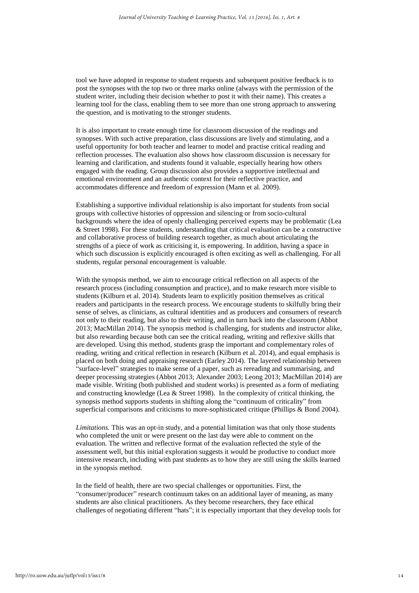tool we have adopted in response to student requests and subsequent positive feedback is to post the synopses with the top two or three marks online (always with the permission of the student writer, including their decision whether to post it with their name). This creates a learning tool for the class, enabling them to see more than one strong approach to answering the question, and is motivating to the stronger students.

It is also important to create enough time for classroom discussion of the readings and synopses. With such active preparation, class discussions are lively and stimulating, and a useful opportunity for both teacher and learner to model and practise critical reading and reflection processes. The evaluation also shows how classroom discussion is necessary for learning and clarification, and students found it valuable, especially hearing how others engaged with the reading. Group discussion also provides a supportive intellectual and emotional environment and an authentic context for their reflective practice, and accommodates difference and freedom of expression (Mann et al. 2009).

Establishing a supportive individual relationship is also important for students from social groups with collective histories of oppression and silencing or from socio-cultural backgrounds where the idea of openly challenging perceived experts may be problematic (Lea & Street 1998). For these students, understanding that critical evaluation can be a constructive and collaborative process of building research together, as much about articulating the strengths of a piece of work as criticising it, is empowering. In addition, having a space in which such discussion is explicitly encouraged is often exciting as well as challenging. For all students, regular personal encouragement is valuable.

With the synopsis method, we aim to encourage critical reflection on all aspects of the research process (including consumption and practice), and to make research more visible to students (Kilburn et al. 2014). Students learn to explicitly position themselves as critical readers and participants in the research process. We encourage students to skilfully bring their sense of selves, as clinicians, as cultural identities and as producers and consumers of research not only to their reading, but also to their writing, and in turn back into the classroom (Abbot 2013; MacMillan 2014). The synopsis method is challenging, for students and instructor alike, but also rewarding because both can see the critical reading, writing and reflexive skills that are developed. Using this method, students grasp the important and complementary roles of reading, writing and critical reflection in research (Kilburn et al. 2014), and equal emphasis is placed on both doing and appraising research (Earley 2014). The layered relationship between "surface-level" strategies to make sense of a paper, such as rereading and summarising, and deeper processing strategies (Abbot 2013; Alexander 2003; Leong 2013; MacMillan 2014) are made visible. Writing (both published and student works) is presented as a form of mediating and constructing knowledge (Lea & Street 1998). In the complexity of critical thinking, the synopsis method supports students in shifting along the "continuum of criticality" from superficial comparisons and criticisms to more-sophisticated critique (Phillips & Bond 2004).

*Limitations.* This was an opt-in study, and a potential limitation was that only those students who completed the unit or were present on the last day were able to comment on the evaluation. The written and reflective format of the evaluation reflected the style of the assessment well, but this initial exploration suggests it would be productive to conduct more intensive research, including with past students as to how they are still using the skills learned in the synopsis method.

In the field of health, there are two special challenges or opportunities. First, the "consumer/producer" research continuum takes on an additional layer of meaning, as many students are also clinical practitioners. As they become researchers, they face ethical challenges of negotiating different "hats"; it is especially important that they develop tools for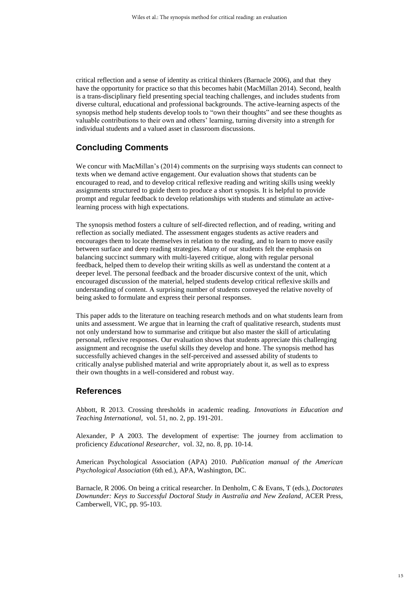critical reflection and a sense of identity as critical thinkers (Barnacle 2006), and that they have the opportunity for practice so that this becomes habit (MacMillan 2014). Second, health is a trans-disciplinary field presenting special teaching challenges, and includes students from diverse cultural, educational and professional backgrounds. The active-learning aspects of the synopsis method help students develop tools to "own their thoughts" and see these thoughts as valuable contributions to their own and others' learning, turning diversity into a strength for individual students and a valued asset in classroom discussions.

## **Concluding Comments**

We concur with MacMillan's (2014) comments on the surprising ways students can connect to texts when we demand active engagement. Our evaluation shows that students can be encouraged to read, and to develop critical reflexive reading and writing skills using weekly assignments structured to guide them to produce a short synopsis. It is helpful to provide prompt and regular feedback to develop relationships with students and stimulate an activelearning process with high expectations.

The synopsis method fosters a culture of self-directed reflection, and of reading, writing and reflection as socially mediated. The assessment engages students as active readers and encourages them to locate themselves in relation to the reading, and to learn to move easily between surface and deep reading strategies. Many of our students felt the emphasis on balancing succinct summary with multi-layered critique, along with regular personal feedback, helped them to develop their writing skills as well as understand the content at a deeper level. The personal feedback and the broader discursive context of the unit, which encouraged discussion of the material, helped students develop critical reflexive skills and understanding of content. A surprising number of students conveyed the relative novelty of being asked to formulate and express their personal responses.

This paper adds to the literature on teaching research methods and on what students learn from units and assessment. We argue that in learning the craft of qualitative research, students must not only understand how to summarise and critique but also master the skill of articulating personal, reflexive responses. Our evaluation shows that students appreciate this challenging assignment and recognise the useful skills they develop and hone. The synopsis method has successfully achieved changes in the self-perceived and assessed ability of students to critically analyse published material and write appropriately about it, as well as to express their own thoughts in a well-considered and robust way.

## **References**

Abbott, R 2013. Crossing thresholds in academic reading. *Innovations in Education and Teaching International,* vol. 51, no. 2, pp. 191-201.

Alexander, P A 2003. The development of expertise: The journey from acclimation to proficiency *Educational Researcher,* vol. 32, no. 8, pp. 10-14.

American Psychological Association (APA) 2010. *Publication manual of the American Psychological Association* (6th ed.), APA, Washington, DC.

Barnacle, R 2006. On being a critical researcher. In Denholm, C & Evans, T (eds.), *Doctorates Downunder: Keys to Successful Doctoral Study in Australia and New Zealand,* ACER Press, Camberwell, VIC, pp*.* 95-103.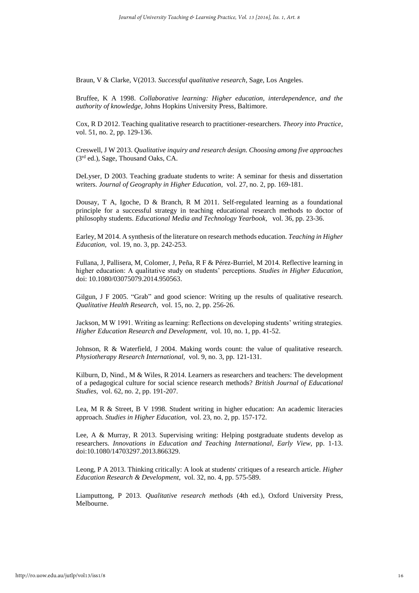Braun, V & Clarke, V(2013. *Successful qualitative research,* Sage, Los Angeles.

Bruffee, K A 1998. *Collaborative learning: Higher education, interdependence, and the authority of knowledge,* Johns Hopkins University Press, Baltimore.

Cox, R D 2012. Teaching qualitative research to practitioner-researchers. *Theory into Practice,*  vol. 51, no. 2, pp. 129-136.

Creswell, J W 2013. *Qualitative inquiry and research design. Choosing among five approaches*  (3rd ed.), Sage, Thousand Oaks, CA.

DeLyser, D 2003. Teaching graduate students to write: A seminar for thesis and dissertation writers. *Journal of Geography in Higher Education,* vol. 27, no. 2, pp. 169-181.

Dousay, T A, Igoche, D & Branch, R M 2011. Self-regulated learning as a foundational principle for a successful strategy in teaching educational research methods to doctor of philosophy students. *Educational Media and Technology Yearbook,* vol. 36, pp. 23-36.

Earley, M 2014. A synthesis of the literature on research methods education. *Teaching in Higher Education,* vol. 19, no. 3, pp. 242-253.

Fullana, J, Pallisera, M, Colomer, J, Peña, R F & Pérez-Burriel, M 2014. Reflective learning in higher education: A qualitative study on students' perceptions. *Studies in Higher Education,*  doi: 10.1080/03075079.2014.950563.

Gilgun, J F 2005. "Grab" and good science: Writing up the results of qualitative research. *Qualitative Health Research,* vol. 15, no. 2, pp. 256-26.

Jackson, M W 1991. Writing as learning: Reflections on developing students' writing strategies. *Higher Education Research and Development,* vol. 10, no. 1, pp. 41-52.

Johnson, R & Waterfield, J 2004. Making words count: the value of qualitative research. *Physiotherapy Research International,* vol. 9, no. 3, pp. 121-131.

Kilburn, D, Nind., M & Wiles, R 2014. Learners as researchers and teachers: The development of a pedagogical culture for social science research methods? *British Journal of Educational Studies,* vol. 62, no. 2, pp. 191-207.

Lea, M R & Street, B V 1998. Student writing in higher education: An academic literacies approach. *Studies in Higher Education,* vol. 23, no. 2, pp. 157-172.

Lee, A & Murray, R 2013. Supervising writing: Helping postgraduate students develop as researchers. *Innovations in Education and Teaching International, Early View,* pp. 1-13. doi:10.1080/14703297.2013.866329.

Leong, P A 2013. Thinking critically: A look at students' critiques of a research article. *Higher Education Research & Development,* vol. 32, no. 4, pp. 575-589.

Liamputtong, P 2013. *Qualitative research methods* (4th ed.), Oxford University Press, Melbourne.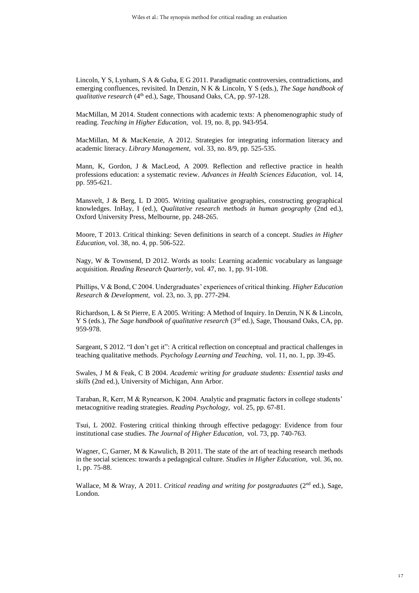Lincoln, Y S, Lynham, S A & Guba, E G 2011. Paradigmatic controversies, contradictions, and emerging confluences, revisited. In Denzin, N K & Lincoln, Y S (eds.), *The Sage handbook of qualitative research* (4<sup>th</sup> ed.), Sage, Thousand Oaks, CA, pp. 97-128.

MacMillan, M 2014. Student connections with academic texts: A phenomenographic study of reading. *Teaching in Higher Education,* vol. 19, no. 8, pp. 943-954.

MacMillan, M & MacKenzie, A 2012. Strategies for integrating information literacy and academic literacy. *Library Management,* vol. 33, no. 8/9, pp. 525-535*.* 

Mann, K, Gordon, J & MacLeod, A 2009. Reflection and reflective practice in health professions education: a systematic review. *Advances in Health Sciences Education,* vol. 14*,* pp. 595-621.

Mansvelt, J & Berg, L D 2005. Writing qualitative geographies, constructing geographical knowledges. InHay, I (ed.), *Qualitative research methods in human geography* (2nd ed.), Oxford University Press, Melbourne, pp. 248-265.

Moore, T 2013. Critical thinking: Seven definitions in search of a concept. *Studies in Higher Education,* vol. 38, no. 4, pp. 506-522.

Nagy, W & Townsend, D 2012. Words as tools: Learning academic vocabulary as language acquisition. *Reading Research Quarterly,* vol. 47, no. 1, pp. 91-108.

Phillips, V & Bond, C 2004. Undergraduates' experiences of critical thinking. *Higher Education Research & Development,* vol. 23, no. 3, pp. 277-294.

Richardson, L & St Pierre, E A 2005. Writing: A Method of Inquiry. In Denzin, N K & Lincoln, Y S (eds.), *The Sage handbook of qualitative research* (3<sup>rd</sup> ed.), Sage, Thousand Oaks, CA, pp. 959-978.

Sargeant, S 2012. "I don't get it": A critical reflection on conceptual and practical challenges in teaching qualitative methods. *Psychology Learning and Teaching,* vol. 11, no. 1, pp. 39-45.

Swales, J M & Feak, C B 2004. *Academic writing for graduate students: Essential tasks and skills* (2nd ed.), University of Michigan, Ann Arbor.

Taraban, R, Kerr, M & Rynearson, K 2004. Analytic and pragmatic factors in college students' metacognitive reading strategies. *Reading Psychology,* vol. 25, pp. 67-81.

Tsui, L 2002. Fostering critical thinking through effective pedagogy: Evidence from four institutional case studies. *The Journal of Higher Education,* vol. 73, pp. 740-763.

Wagner, C, Garner, M & Kawulich, B 2011. The state of the art of teaching research methods in the social sciences: towards a pedagogical culture. *Studies in Higher Education,* vol. 36, no. 1, pp. 75-88.

Wallace, M & Wray, A 2011. *Critical reading and writing for postgraduates* (2<sup>nd</sup> ed.), Sage, London.